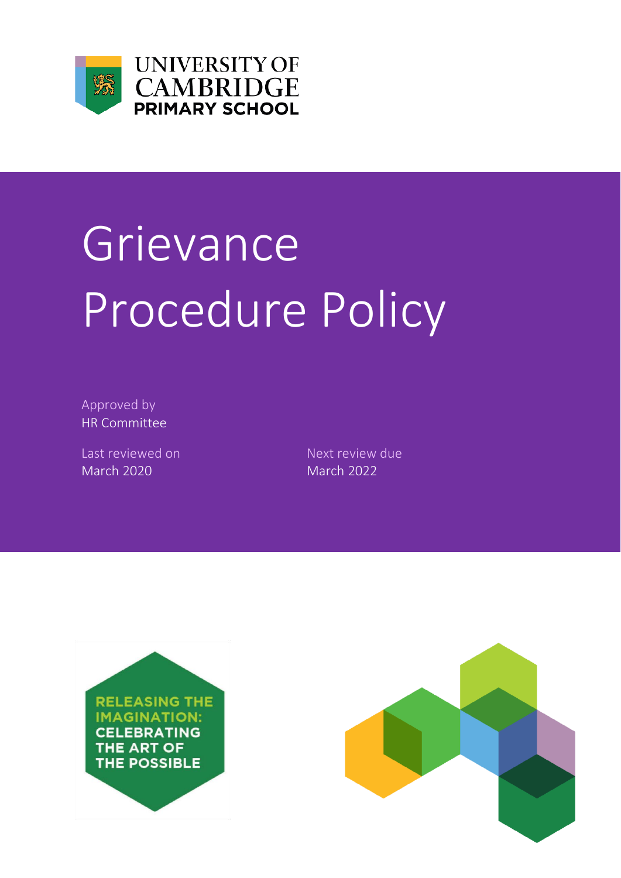

**UNIVERSITY OF CAMBRIDGE PRIMARY SCHOOL** 

# **Grievance** Procedure Policy

Approved by HR Committee

Last reviewed on Next review due March 2020 March 2022



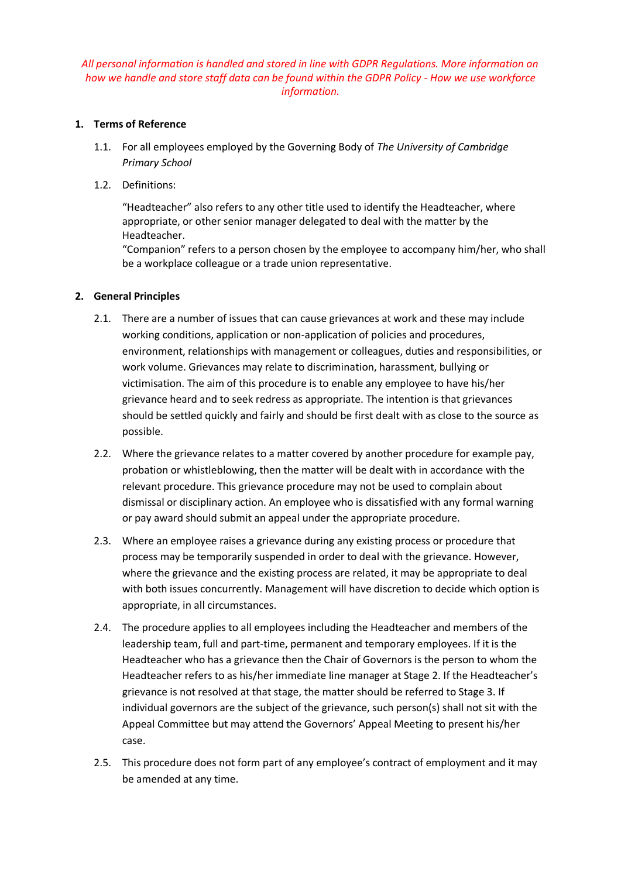# *All personal information is handled and stored in line with GDPR Regulations. More information on how we handle and store staff data can be found within the GDPR Policy - How we use workforce information.*

## **1. Terms of Reference**

- 1.1. For all employees employed by the Governing Body of *The University of Cambridge Primary School*
- 1.2. Definitions:

"Headteacher" also refers to any other title used to identify the Headteacher, where appropriate, or other senior manager delegated to deal with the matter by the Headteacher.

"Companion" refers to a person chosen by the employee to accompany him/her, who shall be a workplace colleague or a trade union representative.

### **2. General Principles**

- 2.1. There are a number of issues that can cause grievances at work and these may include working conditions, application or non-application of policies and procedures, environment, relationships with management or colleagues, duties and responsibilities, or work volume. Grievances may relate to discrimination, harassment, bullying or victimisation. The aim of this procedure is to enable any employee to have his/her grievance heard and to seek redress as appropriate. The intention is that grievances should be settled quickly and fairly and should be first dealt with as close to the source as possible.
- 2.2. Where the grievance relates to a matter covered by another procedure for example pay, probation or whistleblowing, then the matter will be dealt with in accordance with the relevant procedure. This grievance procedure may not be used to complain about dismissal or disciplinary action. An employee who is dissatisfied with any formal warning or pay award should submit an appeal under the appropriate procedure.
- 2.3. Where an employee raises a grievance during any existing process or procedure that process may be temporarily suspended in order to deal with the grievance. However, where the grievance and the existing process are related, it may be appropriate to deal with both issues concurrently. Management will have discretion to decide which option is appropriate, in all circumstances.
- 2.4. The procedure applies to all employees including the Headteacher and members of the leadership team, full and part-time, permanent and temporary employees. If it is the Headteacher who has a grievance then the Chair of Governors is the person to whom the Headteacher refers to as his/her immediate line manager at Stage 2. If the Headteacher's grievance is not resolved at that stage, the matter should be referred to Stage 3. If individual governors are the subject of the grievance, such person(s) shall not sit with the Appeal Committee but may attend the Governors' Appeal Meeting to present his/her case.
- 2.5. This procedure does not form part of any employee's contract of employment and it may be amended at any time.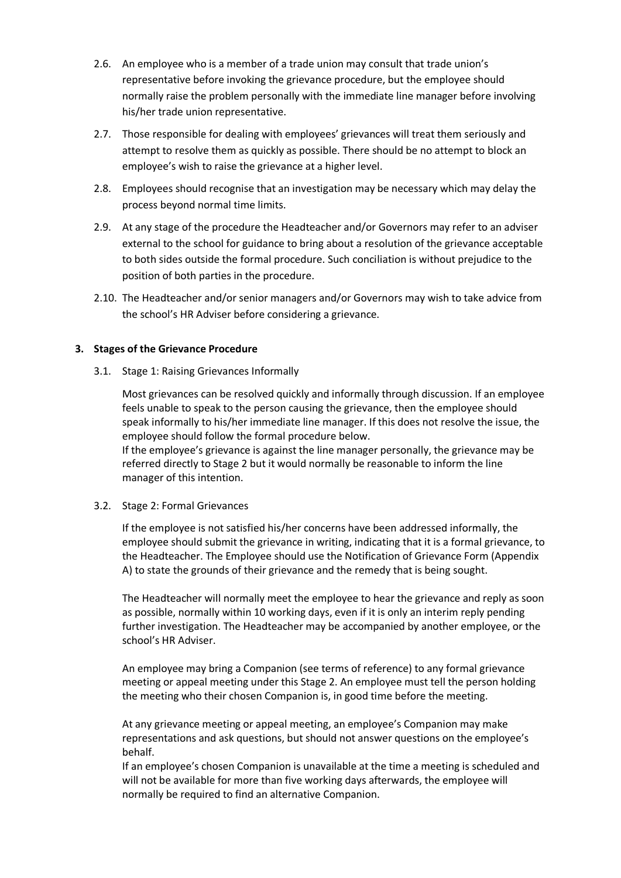- 2.6. An employee who is a member of a trade union may consult that trade union's representative before invoking the grievance procedure, but the employee should normally raise the problem personally with the immediate line manager before involving his/her trade union representative.
- 2.7. Those responsible for dealing with employees' grievances will treat them seriously and attempt to resolve them as quickly as possible. There should be no attempt to block an employee's wish to raise the grievance at a higher level.
- 2.8. Employees should recognise that an investigation may be necessary which may delay the process beyond normal time limits.
- 2.9. At any stage of the procedure the Headteacher and/or Governors may refer to an adviser external to the school for guidance to bring about a resolution of the grievance acceptable to both sides outside the formal procedure. Such conciliation is without prejudice to the position of both parties in the procedure.
- 2.10. The Headteacher and/or senior managers and/or Governors may wish to take advice from the school's HR Adviser before considering a grievance.

### **3. Stages of the Grievance Procedure**

3.1. Stage 1: Raising Grievances Informally

Most grievances can be resolved quickly and informally through discussion. If an employee feels unable to speak to the person causing the grievance, then the employee should speak informally to his/her immediate line manager. If this does not resolve the issue, the employee should follow the formal procedure below.

If the employee's grievance is against the line manager personally, the grievance may be referred directly to Stage 2 but it would normally be reasonable to inform the line manager of this intention.

### 3.2. Stage 2: Formal Grievances

If the employee is not satisfied his/her concerns have been addressed informally, the employee should submit the grievance in writing, indicating that it is a formal grievance, to the Headteacher. The Employee should use the Notification of Grievance Form (Appendix A) to state the grounds of their grievance and the remedy that is being sought.

The Headteacher will normally meet the employee to hear the grievance and reply as soon as possible, normally within 10 working days, even if it is only an interim reply pending further investigation. The Headteacher may be accompanied by another employee, or the school's HR Adviser.

An employee may bring a Companion (see terms of reference) to any formal grievance meeting or appeal meeting under this Stage 2. An employee must tell the person holding the meeting who their chosen Companion is, in good time before the meeting.

At any grievance meeting or appeal meeting, an employee's Companion may make representations and ask questions, but should not answer questions on the employee's behalf.

If an employee's chosen Companion is unavailable at the time a meeting is scheduled and will not be available for more than five working days afterwards, the employee will normally be required to find an alternative Companion.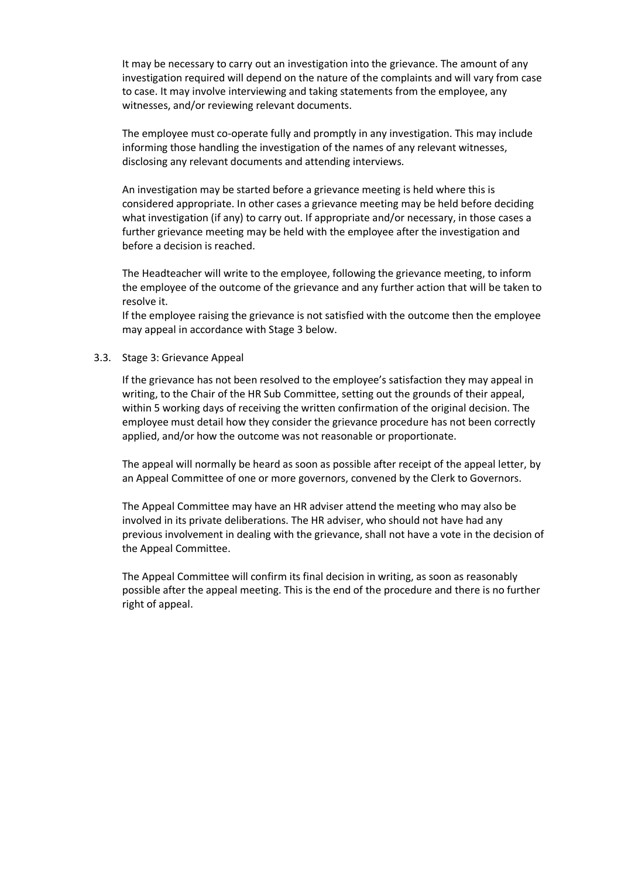It may be necessary to carry out an investigation into the grievance. The amount of any investigation required will depend on the nature of the complaints and will vary from case to case. It may involve interviewing and taking statements from the employee, any witnesses, and/or reviewing relevant documents.

The employee must co-operate fully and promptly in any investigation. This may include informing those handling the investigation of the names of any relevant witnesses, disclosing any relevant documents and attending interviews.

An investigation may be started before a grievance meeting is held where this is considered appropriate. In other cases a grievance meeting may be held before deciding what investigation (if any) to carry out. If appropriate and/or necessary, in those cases a further grievance meeting may be held with the employee after the investigation and before a decision is reached.

The Headteacher will write to the employee, following the grievance meeting, to inform the employee of the outcome of the grievance and any further action that will be taken to resolve it.

If the employee raising the grievance is not satisfied with the outcome then the employee may appeal in accordance with Stage 3 below.

### 3.3. Stage 3: Grievance Appeal

If the grievance has not been resolved to the employee's satisfaction they may appeal in writing, to the Chair of the HR Sub Committee, setting out the grounds of their appeal, within 5 working days of receiving the written confirmation of the original decision. The employee must detail how they consider the grievance procedure has not been correctly applied, and/or how the outcome was not reasonable or proportionate.

The appeal will normally be heard as soon as possible after receipt of the appeal letter, by an Appeal Committee of one or more governors, convened by the Clerk to Governors.

The Appeal Committee may have an HR adviser attend the meeting who may also be involved in its private deliberations. The HR adviser, who should not have had any previous involvement in dealing with the grievance, shall not have a vote in the decision of the Appeal Committee.

The Appeal Committee will confirm its final decision in writing, as soon as reasonably possible after the appeal meeting. This is the end of the procedure and there is no further right of appeal.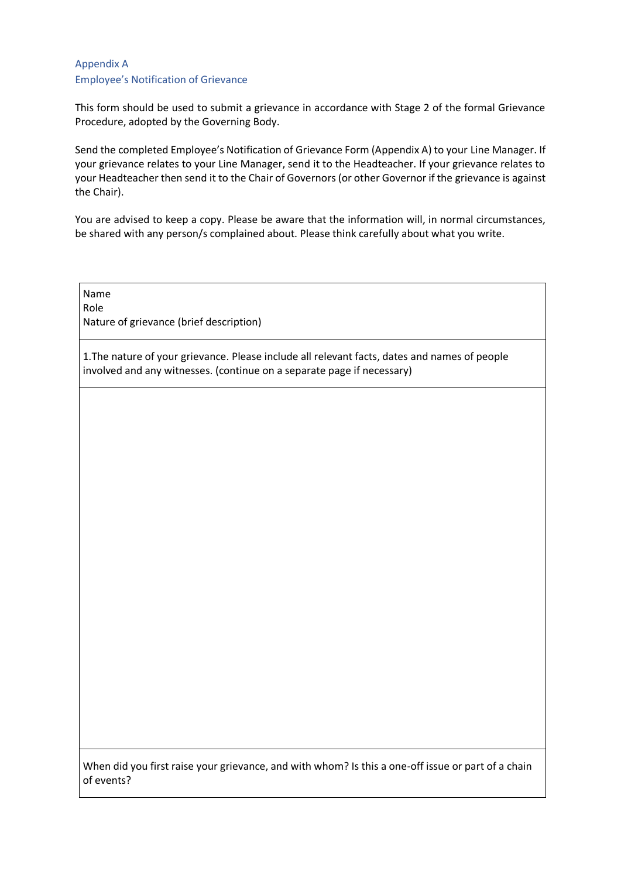# Appendix A Employee's Notification of Grievance

This form should be used to submit a grievance in accordance with Stage 2 of the formal Grievance Procedure, adopted by the Governing Body.

Send the completed Employee's Notification of Grievance Form (Appendix A) to your Line Manager. If your grievance relates to your Line Manager, send it to the Headteacher. If your grievance relates to your Headteacher then send it to the Chair of Governors (or other Governor if the grievance is against the Chair).

You are advised to keep a copy. Please be aware that the information will, in normal circumstances, be shared with any person/s complained about. Please think carefully about what you write.

Name Role Nature of grievance (brief description)

1.The nature of your grievance. Please include all relevant facts, dates and names of people involved and any witnesses. (continue on a separate page if necessary)

When did you first raise your grievance, and with whom? Is this a one-off issue or part of a chain of events?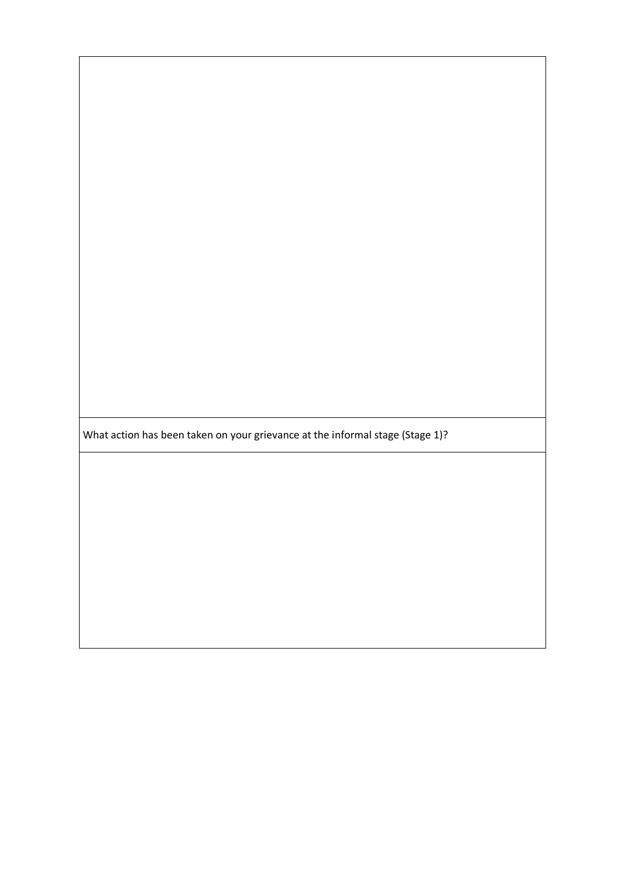What action has been taken on your grievance at the informal stage (Stage 1)?